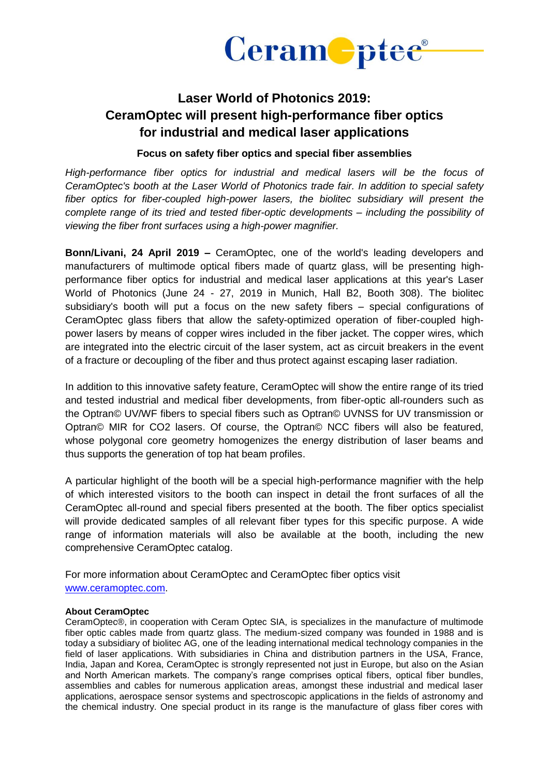

## **Laser World of Photonics 2019: CeramOptec will present high-performance fiber optics for industrial and medical laser applications**

## **Focus on safety fiber optics and special fiber assemblies**

*High-performance fiber optics for industrial and medical lasers will be the focus of CeramOptec's booth at the Laser World of Photonics trade fair. In addition to special safety fiber optics for fiber-coupled high-power lasers, the biolitec subsidiary will present the complete range of its tried and tested fiber-optic developments – including the possibility of viewing the fiber front surfaces using a high-power magnifier.*

**Bonn/Livani, 24 April 2019 –** CeramOptec, one of the world's leading developers and manufacturers of multimode optical fibers made of quartz glass, will be presenting highperformance fiber optics for industrial and medical laser applications at this year's Laser World of Photonics (June 24 - 27, 2019 in Munich, Hall B2, Booth 308). The biolitec subsidiary's booth will put a focus on the new safety fibers – special configurations of CeramOptec glass fibers that allow the safety-optimized operation of fiber-coupled highpower lasers by means of copper wires included in the fiber jacket. The copper wires, which are integrated into the electric circuit of the laser system, act as circuit breakers in the event of a fracture or decoupling of the fiber and thus protect against escaping laser radiation.

In addition to this innovative safety feature, CeramOptec will show the entire range of its tried and tested industrial and medical fiber developments, from fiber-optic all-rounders such as the Optran© UV/WF fibers to special fibers such as Optran© UVNSS for UV transmission or Optran© MIR for CO2 lasers. Of course, the Optran© NCC fibers will also be featured, whose polygonal core geometry homogenizes the energy distribution of laser beams and thus supports the generation of top hat beam profiles.

A particular highlight of the booth will be a special high-performance magnifier with the help of which interested visitors to the booth can inspect in detail the front surfaces of all the CeramOptec all-round and special fibers presented at the booth. The fiber optics specialist will provide dedicated samples of all relevant fiber types for this specific purpose. A wide range of information materials will also be available at the booth, including the new comprehensive CeramOptec catalog.

For more information about CeramOptec and CeramOptec fiber optics visit [www.ceramoptec.com.](http://www.ceramoptec.com/)

## **About CeramOptec**

CeramOptec®, in cooperation with Ceram Optec SIA, is specializes in the manufacture of multimode fiber optic cables made from quartz glass. The medium-sized company was founded in 1988 and is today a subsidiary of biolitec AG, one of the leading international medical technology companies in the field of laser applications. With subsidiaries in China and distribution partners in the USA, France, India, Japan and Korea, CeramOptec is strongly represented not just in Europe, but also on the Asian and North American markets. The company's range comprises optical fibers, optical fiber bundles, assemblies and cables for numerous application areas, amongst these industrial and medical laser applications, aerospace sensor systems and spectroscopic applications in the fields of astronomy and the chemical industry. One special product in its range is the manufacture of glass fiber cores with